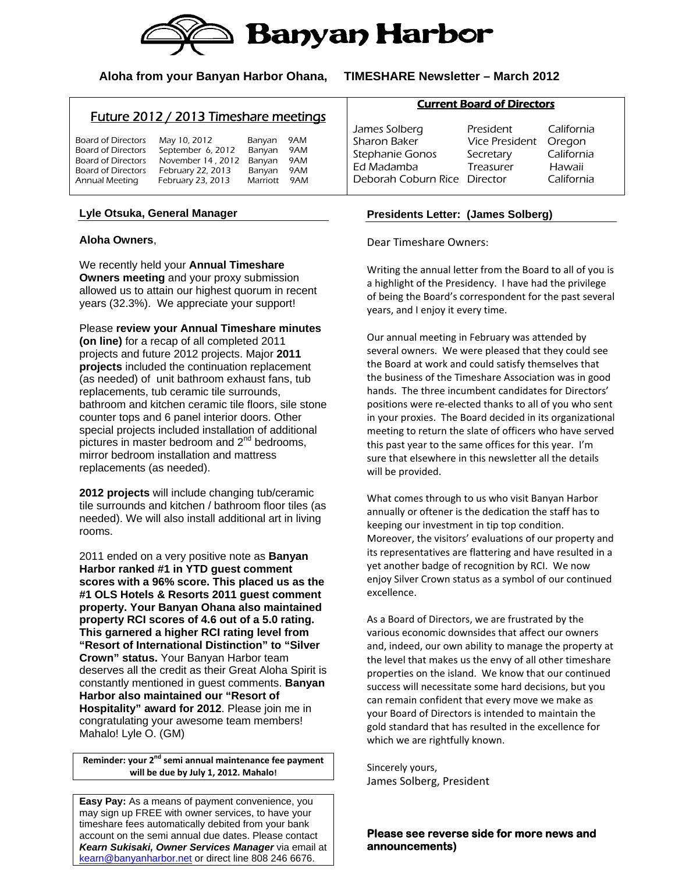

## **Aloha from your Banyan Harbor Ohana, TIMESHARE Newsletter – March 2012**

# Future 2012 / 2013 Timeshare meetings

| Board of Directors | May 10, 2012      | Banyan   | 9AM |  |
|--------------------|-------------------|----------|-----|--|
| Board of Directors | September 6, 2012 | Banyan   | 9AM |  |
| Board of Directors | November 14, 2012 | Banyan   | 9AM |  |
| Board of Directors | February 22, 2013 | Banyan   | 9AM |  |
| Annual Meeting     | February 23, 2013 | Marriott | 9AM |  |

### **Lyle Otsuka, General Manager**

#### **Aloha Owners**,

We recently held your **Annual Timeshare Owners meeting** and your proxy submission allowed us to attain our highest quorum in recent years (32.3%). We appreciate your support!

Please **review your Annual Timeshare minutes (on line)** for a recap of all completed 2011 projects and future 2012 projects. Major **2011 projects** included the continuation replacement (as needed) of unit bathroom exhaust fans, tub replacements, tub ceramic tile surrounds, bathroom and kitchen ceramic tile floors, sile stone counter tops and 6 panel interior doors. Other special projects included installation of additional pictures in master bedroom and 2<sup>nd</sup> bedrooms, mirror bedroom installation and mattress replacements (as needed).

**2012 projects** will include changing tub/ceramic tile surrounds and kitchen / bathroom floor tiles (as needed). We will also install additional art in living rooms.

2011 ended on a very positive note as **Banyan Harbor ranked #1 in YTD guest comment scores with a 96% score. This placed us as the #1 OLS Hotels & Resorts 2011 guest comment property. Your Banyan Ohana also maintained property RCI scores of 4.6 out of a 5.0 rating. This garnered a higher RCI rating level from "Resort of International Distinction" to "Silver Crown" status.** Your Banyan Harbor team deserves all the credit as their Great Aloha Spirit is constantly mentioned in guest comments. **Banyan Harbor also maintained our "Resort of Hospitality" award for 2012**. Please join me in congratulating your awesome team members! Mahalo! Lyle O. (GM)

**Reminder: your 2nd semi annual maintenance fee payment will be due by July 1, 2012. Mahalo!**

**Easy Pay:** As a means of payment convenience, you may sign up FREE with owner services, to have your timeshare fees automatically debited from your bank account on the semi annual due dates. Please contact *Kearn Sukisaki, Owner Services Manager* via email at kearn@banyanharbor.net</u> or direct line 808 246 6676.

#### Current Board of Directors

James Solberg President California Sharon Baker Vice President Oregon Stephanie Gonos Secretary California Ed Madamba Treasurer Hawaii Deborah Coburn Rice Director California

### **Presidents Letter: (James Solberg)**

Dear Timeshare Owners:

Writing the annual letter from the Board to all of you is a highlight of the Presidency. I have had the privilege of being the Board's correspondent for the past several years, and I enjoy it every time.

Our annual meeting in February was attended by several owners. We were pleased that they could see the Board at work and could satisfy themselves that the business of the Timeshare Association was in good hands. The three incumbent candidates for Directors' positions were re‐elected thanks to all of you who sent in your proxies. The Board decided in its organizational meeting to return the slate of officers who have served this past year to the same offices for this year. I'm sure that elsewhere in this newsletter all the details will be provided.

What comes through to us who visit Banyan Harbor annually or oftener is the dedication the staff has to keeping our investment in tip top condition. Moreover, the visitors' evaluations of our property and its representatives are flattering and have resulted in a yet another badge of recognition by RCI. We now enjoy Silver Crown status as a symbol of our continued excellence.

As a Board of Directors, we are frustrated by the various economic downsides that affect our owners and, indeed, our own ability to manage the property at the level that makes us the envy of all other timeshare properties on the island. We know that our continued success will necessitate some hard decisions, but you can remain confident that every move we make as your Board of Directors is intended to maintain the gold standard that has resulted in the excellence for which we are rightfully known.

Sincerely yours, James Solberg, President

**Please see reverse side for more news and announcements)**